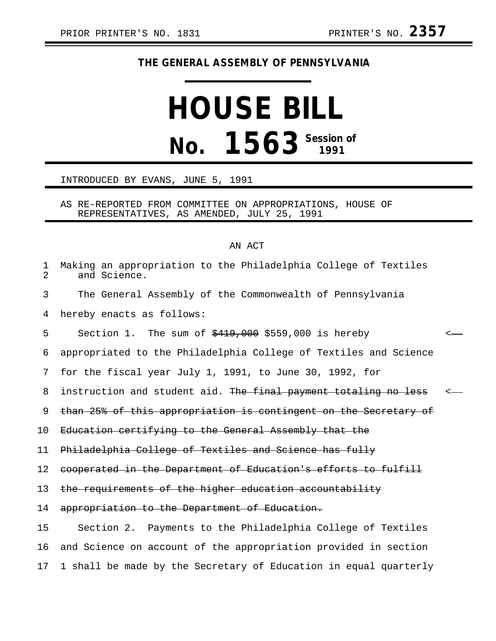## **THE GENERAL ASSEMBLY OF PENNSYLVANIA**

## **HOUSE BILL No. 1563 Session of**

## INTRODUCED BY EVANS, JUNE 5, 1991

AS RE-REPORTED FROM COMMITTEE ON APPROPRIATIONS, HOUSE OF REPRESENTATIVES, AS AMENDED, JULY 25, 1991

## AN ACT

| $\mathbf 1$<br>$\overline{2}$ | Making an appropriation to the Philadelphia College of Textiles<br>and Science. |              |
|-------------------------------|---------------------------------------------------------------------------------|--------------|
| 3                             | The General Assembly of the Commonwealth of Pennsylvania                        |              |
| 4                             | hereby enacts as follows:                                                       |              |
| 5                             | Section 1. The sum of $\frac{2419}{1000}$ , 000 is hereby                       | $\leftarrow$ |
| 6                             | appropriated to the Philadelphia College of Textiles and Science                |              |
| 7                             | for the fiscal year July 1, 1991, to June 30, 1992, for                         |              |
| 8                             | instruction and student aid. The final payment totaling no less                 | — <—         |
| 9                             | than 25% of this appropriation is contingent on the Secretary of                |              |
| 10                            | Education certifying to the General Assembly that the                           |              |
| 11                            | Philadelphia College of Textiles and Science has fully                          |              |
| 12                            | cooperated in the Department of Education's efforts to fulfill                  |              |
| 13                            |                                                                                 |              |
|                               | the requirements of the higher education accountability                         |              |
| 14                            | appropriation to the Department of Education.                                   |              |
| 15                            | Section 2. Payments to the Philadelphia College of Textiles                     |              |
| 16                            | and Science on account of the appropriation provided in section                 |              |
| 17                            | 1 shall be made by the Secretary of Education in equal quarterly                |              |